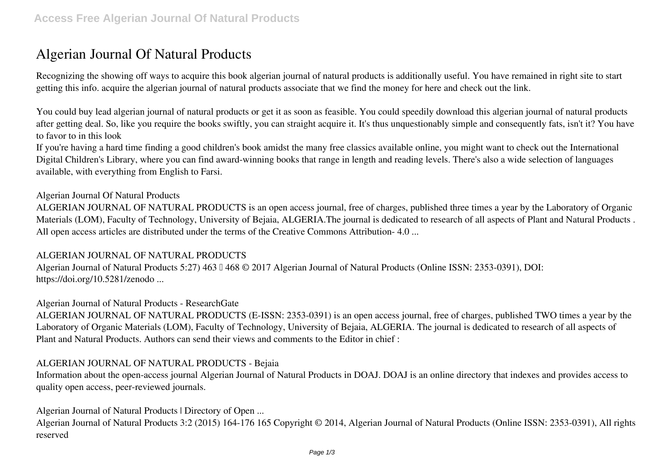# **Algerian Journal Of Natural Products**

Recognizing the showing off ways to acquire this book **algerian journal of natural products** is additionally useful. You have remained in right site to start getting this info. acquire the algerian journal of natural products associate that we find the money for here and check out the link.

You could buy lead algerian journal of natural products or get it as soon as feasible. You could speedily download this algerian journal of natural products after getting deal. So, like you require the books swiftly, you can straight acquire it. It's thus unquestionably simple and consequently fats, isn't it? You have to favor to in this look

If you're having a hard time finding a good children's book amidst the many free classics available online, you might want to check out the International Digital Children's Library, where you can find award-winning books that range in length and reading levels. There's also a wide selection of languages available, with everything from English to Farsi.

### **Algerian Journal Of Natural Products**

ALGERIAN JOURNAL OF NATURAL PRODUCTS is an open access journal, free of charges, published three times a year by the Laboratory of Organic Materials (LOM), Faculty of Technology, University of Bejaia, ALGERIA.The journal is dedicated to research of all aspects of Plant and Natural Products . All open access articles are distributed under the terms of the Creative Commons Attribution- 4.0 ...

### **ALGERIAN JOURNAL OF NATURAL PRODUCTS**

Algerian Journal of Natural Products 5:27) 463 || 468 © 2017 Algerian Journal of Natural Products (Online ISSN: 2353-0391), DOI: https://doi.org/10.5281/zenodo ...

### **Algerian Journal of Natural Products - ResearchGate**

ALGERIAN JOURNAL OF NATURAL PRODUCTS (E-ISSN: 2353-0391) is an open access journal, free of charges, published TWO times a year by the Laboratory of Organic Materials (LOM), Faculty of Technology, University of Bejaia, ALGERIA. The journal is dedicated to research of all aspects of Plant and Natural Products. Authors can send their views and comments to the Editor in chief :

### **ALGERIAN JOURNAL OF NATURAL PRODUCTS - Bejaia**

Information about the open-access journal Algerian Journal of Natural Products in DOAJ. DOAJ is an online directory that indexes and provides access to quality open access, peer-reviewed journals.

**Algerian Journal of Natural Products | Directory of Open ...**

Algerian Journal of Natural Products 3:2 (2015) 164-176 165 Copyright © 2014, Algerian Journal of Natural Products (Online ISSN: 2353-0391), All rights reserved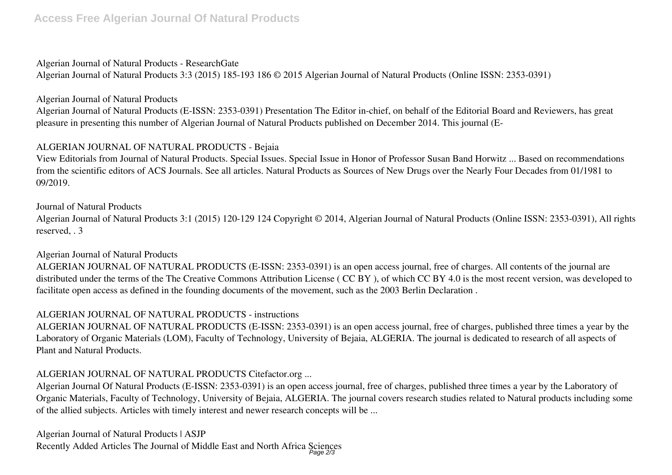### **Algerian Journal of Natural Products - ResearchGate**

Algerian Journal of Natural Products 3:3 (2015) 185-193 186 © 2015 Algerian Journal of Natural Products (Online ISSN: 2353-0391)

### **Algerian Journal of Natural Products**

Algerian Journal of Natural Products (E-ISSN: 2353-0391) Presentation The Editor in-chief, on behalf of the Editorial Board and Reviewers, has great pleasure in presenting this number of Algerian Journal of Natural Products published on December 2014. This journal (E-

# **ALGERIAN JOURNAL OF NATURAL PRODUCTS - Bejaia**

View Editorials from Journal of Natural Products. Special Issues. Special Issue in Honor of Professor Susan Band Horwitz ... Based on recommendations from the scientific editors of ACS Journals. See all articles. Natural Products as Sources of New Drugs over the Nearly Four Decades from 01/1981 to 09/2019.

**Journal of Natural Products** Algerian Journal of Natural Products 3:1 (2015) 120-129 124 Copyright © 2014, Algerian Journal of Natural Products (Online ISSN: 2353-0391), All rights reserved, . 3

### **Algerian Journal of Natural Products**

ALGERIAN JOURNAL OF NATURAL PRODUCTS (E-ISSN: 2353-0391) is an open access journal, free of charges. All contents of the journal are distributed under the terms of the The Creative Commons Attribution License ( CC BY ), of which CC BY 4.0 is the most recent version, was developed to facilitate open access as defined in the founding documents of the movement, such as the 2003 Berlin Declaration .

# **ALGERIAN JOURNAL OF NATURAL PRODUCTS - instructions**

ALGERIAN JOURNAL OF NATURAL PRODUCTS (E-ISSN: 2353-0391) is an open access journal, free of charges, published three times a year by the Laboratory of Organic Materials (LOM), Faculty of Technology, University of Bejaia, ALGERIA. The journal is dedicated to research of all aspects of Plant and Natural Products.

# **ALGERIAN JOURNAL OF NATURAL PRODUCTS Citefactor.org ...**

Algerian Journal Of Natural Products (E-ISSN: 2353-0391) is an open access journal, free of charges, published three times a year by the Laboratory of Organic Materials, Faculty of Technology, University of Bejaia, ALGERIA. The journal covers research studies related to Natural products including some of the allied subjects. Articles with timely interest and newer research concepts will be ...

**Algerian Journal of Natural Products | ASJP** Recently Added Articles The Journal of Middle East and North Africa Sciences Page 2/3